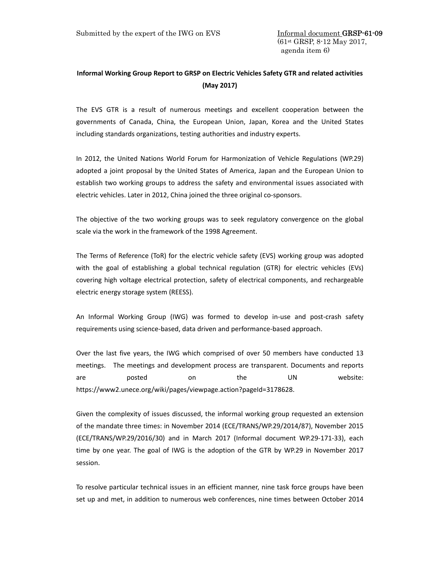## **Informal Working Group Report to GRSP on Electric Vehicles Safety GTR and related activities (May 2017)**

The EVS GTR is a result of numerous meetings and excellent cooperation between the governments of Canada, China, the European Union, Japan, Korea and the United States including standards organizations, testing authorities and industry experts.

In 2012, the United Nations World Forum for Harmonization of Vehicle Regulations (WP.29) adopted a joint proposal by the United States of America, Japan and the European Union to establish two working groups to address the safety and environmental issues associated with electric vehicles. Later in 2012, China joined the three original co‐sponsors.

The objective of the two working groups was to seek regulatory convergence on the global scale via the work in the framework of the 1998 Agreement.

The Terms of Reference (ToR) for the electric vehicle safety (EVS) working group was adopted with the goal of establishing a global technical regulation (GTR) for electric vehicles (EVs) covering high voltage electrical protection, safety of electrical components, and rechargeable electric energy storage system (REESS).

An Informal Working Group (IWG) was formed to develop in‐use and post‐crash safety requirements using science‐based, data driven and performance‐based approach.

Over the last five years, the IWG which comprised of over 50 members have conducted 13 meetings. The meetings and development process are transparent. Documents and reports are method on the UN website: https://www2.unece.org/wiki/pages/viewpage.action?pageId=3178628.

Given the complexity of issues discussed, the informal working group requested an extension of the mandate three times: in November 2014 (ECE/TRANS/WP.29/2014/87), November 2015 (ECE/TRANS/WP.29/2016/30) and in March 2017 (Informal document WP.29‐171‐33), each time by one year. The goal of IWG is the adoption of the GTR by WP.29 in November 2017 session.

To resolve particular technical issues in an efficient manner, nine task force groups have been set up and met, in addition to numerous web conferences, nine times between October 2014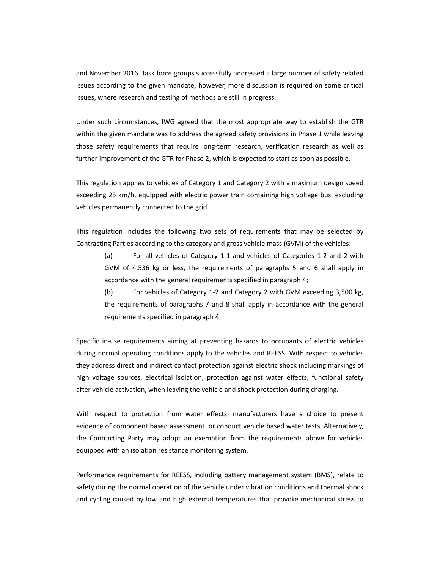and November 2016. Task force groups successfully addressed a large number of safety related issues according to the given mandate, however, more discussion is required on some critical issues, where research and testing of methods are still in progress.

Under such circumstances, IWG agreed that the most appropriate way to establish the GTR within the given mandate was to address the agreed safety provisions in Phase 1 while leaving those safety requirements that require long‐term research, verification research as well as further improvement of the GTR for Phase 2, which is expected to start as soon as possible.

This regulation applies to vehicles of Category 1 and Category 2 with a maximum design speed exceeding 25 km/h, equipped with electric power train containing high voltage bus, excluding vehicles permanently connected to the grid.

This regulation includes the following two sets of requirements that may be selected by Contracting Parties according to the category and gross vehicle mass (GVM) of the vehicles:

(a) For all vehicles of Category 1‐1 and vehicles of Categories 1‐2 and 2 with GVM of 4,536 kg or less, the requirements of paragraphs 5 and 6 shall apply in accordance with the general requirements specified in paragraph 4;

(b) For vehicles of Category 1‐2 and Category 2 with GVM exceeding 3,500 kg, the requirements of paragraphs 7 and 8 shall apply in accordance with the general requirements specified in paragraph 4.

Specific in‐use requirements aiming at preventing hazards to occupants of electric vehicles during normal operating conditions apply to the vehicles and REESS. With respect to vehicles they address direct and indirect contact protection against electric shock including markings of high voltage sources, electrical isolation, protection against water effects, functional safety after vehicle activation, when leaving the vehicle and shock protection during charging.

With respect to protection from water effects, manufacturers have a choice to present evidence of component based assessment. or conduct vehicle based water tests. Alternatively, the Contracting Party may adopt an exemption from the requirements above for vehicles equipped with an isolation resistance monitoring system.

Performance requirements for REESS, including battery management system (BMS), relate to safety during the normal operation of the vehicle under vibration conditions and thermal shock and cycling caused by low and high external temperatures that provoke mechanical stress to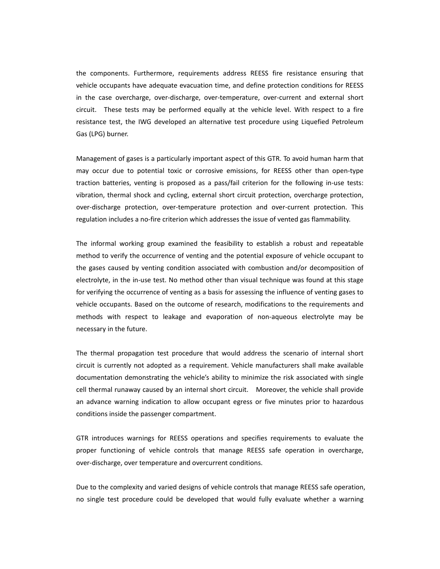the components. Furthermore, requirements address REESS fire resistance ensuring that vehicle occupants have adequate evacuation time, and define protection conditions for REESS in the case overcharge, over-discharge, over-temperature, over-current and external short circuit. These tests may be performed equally at the vehicle level. With respect to a fire resistance test, the IWG developed an alternative test procedure using Liquefied Petroleum Gas (LPG) burner.

Management of gases is a particularly important aspect of this GTR. To avoid human harm that may occur due to potential toxic or corrosive emissions, for REESS other than open‐type traction batteries, venting is proposed as a pass/fail criterion for the following in‐use tests: vibration, thermal shock and cycling, external short circuit protection, overcharge protection, over‐discharge protection, over‐temperature protection and over‐current protection. This regulation includes a no-fire criterion which addresses the issue of vented gas flammability.

The informal working group examined the feasibility to establish a robust and repeatable method to verify the occurrence of venting and the potential exposure of vehicle occupant to the gases caused by venting condition associated with combustion and/or decomposition of electrolyte, in the in‐use test. No method other than visual technique was found at this stage for verifying the occurrence of venting as a basis for assessing the influence of venting gases to vehicle occupants. Based on the outcome of research, modifications to the requirements and methods with respect to leakage and evaporation of non-aqueous electrolyte may be necessary in the future.

The thermal propagation test procedure that would address the scenario of internal short circuit is currently not adopted as a requirement. Vehicle manufacturers shall make available documentation demonstrating the vehicle's ability to minimize the risk associated with single cell thermal runaway caused by an internal short circuit. Moreover, the vehicle shall provide an advance warning indication to allow occupant egress or five minutes prior to hazardous conditions inside the passenger compartment.

GTR introduces warnings for REESS operations and specifies requirements to evaluate the proper functioning of vehicle controls that manage REESS safe operation in overcharge, over‐discharge, over temperature and overcurrent conditions.

Due to the complexity and varied designs of vehicle controls that manage REESS safe operation, no single test procedure could be developed that would fully evaluate whether a warning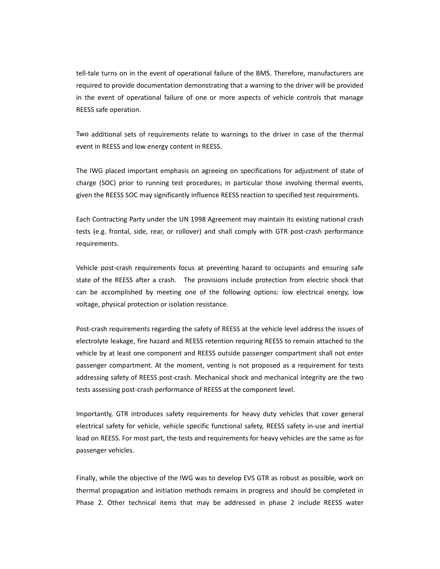tell‐tale turns on in the event of operational failure of the BMS. Therefore, manufacturers are required to provide documentation demonstrating that a warning to the driver will be provided in the event of operational failure of one or more aspects of vehicle controls that manage REESS safe operation.

Two additional sets of requirements relate to warnings to the driver in case of the thermal event in REESS and low energy content in REESS.

The IWG placed important emphasis on agreeing on specifications for adjustment of state of charge (SOC) prior to running test procedures; in particular those involving thermal events, given the REESS SOC may significantly influence REESS reaction to specified test requirements.

Each Contracting Party under the UN 1998 Agreement may maintain its existing national crash tests (e.g. frontal, side, rear, or rollover) and shall comply with GTR post‐crash performance requirements.

Vehicle post-crash requirements focus at preventing hazard to occupants and ensuring safe state of the REESS after a crash. The provisions include protection from electric shock that can be accomplished by meeting one of the following options: low electrical energy, low voltage, physical protection or isolation resistance.

Post-crash requirements regarding the safety of REESS at the vehicle level address the issues of electrolyte leakage, fire hazard and REESS retention requiring REESS to remain attached to the vehicle by at least one component and REESS outside passenger compartment shall not enter passenger compartment. At the moment, venting is not proposed as a requirement for tests addressing safety of REESS post‐crash. Mechanical shock and mechanical integrity are the two tests assessing post‐crash performance of REESS at the component level.

Importantly, GTR introduces safety requirements for heavy duty vehicles that cover general electrical safety for vehicle, vehicle specific functional safety, REESS safety in‐use and inertial load on REESS. For most part, the tests and requirements for heavy vehicles are the same as for passenger vehicles.

Finally, while the objective of the IWG was to develop EVS GTR as robust as possible, work on thermal propagation and initiation methods remains in progress and should be completed in Phase 2. Other technical items that may be addressed in phase 2 include REESS water